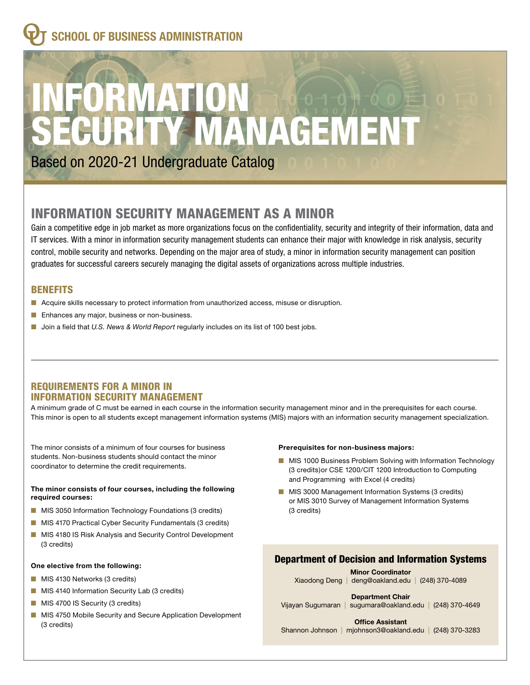# **SCHOOL OF BUSINESS ADMINISTRATION**

# **IKIVIA**<br>IIRITY TY MANAGEMENT

Based on 2020-21 Undergraduate Catalog

# INFORMATION SECURITY MANAGEMENT AS A MINOR

Gain a competitive edge in job market as more organizations focus on the confidentiality, security and integrity of their information, data and IT services. With a minor in information security management students can enhance their major with knowledge in risk analysis, security control, mobile security and networks. Depending on the major area of study, a minor in information security management can position graduates for successful careers securely managing the digital assets of organizations across multiple industries.

# BENEFITS

- **n** Acquire skills necessary to protect information from unauthorized access, misuse or disruption.
- **n** Enhances any major, business or non-business.
- Join a field that *U.S. News & World Report* regularly includes on its list of 100 best jobs.

#### REQUIREMENTS FOR A MINOR IN INFORMATION SECURITY MANAGEMENT

A minimum grade of C must be earned in each course in the information security management minor and in the prerequisites for each course. This minor is open to all students except management information systems (MIS) majors with an information security management specialization.

The minor consists of a minimum of four courses for business students. Non-business students should contact the minor coordinator to determine the credit requirements.

#### **The minor consists of four courses, including the following required courses:**

- **n** MIS 3050 Information Technology Foundations (3 credits)
- **n** MIS 4170 Practical Cyber Security Fundamentals (3 credits)
- **NIS 4180 IS Risk Analysis and Security Control Development** (3 credits)

#### **One elective from the following:**

- **n** MIS 4130 Networks (3 credits)
- **n** MIS 4140 Information Security Lab (3 credits)
- **NIS 4700 IS Security (3 credits)**
- **n** MIS 4750 Mobile Security and Secure Application Development (3 credits)

#### **Prerequisites for non-business majors:**

- **n** MIS 1000 Business Problem Solving with Information Technology (3 credits)or CSE 1200/CIT 1200 Introduction to Computing and Programming with Excel (4 credits)
- **n** MIS 3000 Management Information Systems (3 credits) or MIS 3010 Survey of Management Information Systems (3 credits)

# Department of Decision and Information Systems

**Minor Coordinator**  Xiaodong Deng | deng@oakland.edu | (248) 370-4089

 Vijayan Sugumaran | sugumara@oakland.edu | (248) 370-4649 **Department Chair** 

**Office Assistant** 

Shannon Johnson | mjohnson3@oakland.edu | (248) 370-3283